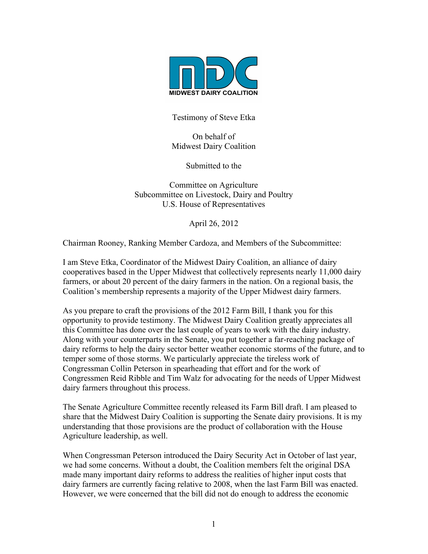

Testimony of Steve Etka

On behalf of Midwest Dairy Coalition

Submitted to the

Committee on Agriculture Subcommittee on Livestock, Dairy and Poultry U.S. House of Representatives

April 26, 2012

Chairman Rooney, Ranking Member Cardoza, and Members of the Subcommittee:

I am Steve Etka, Coordinator of the Midwest Dairy Coalition, an alliance of dairy cooperatives based in the Upper Midwest that collectively represents nearly 11,000 dairy farmers, or about 20 percent of the dairy farmers in the nation. On a regional basis, the Coalition's membership represents a majority of the Upper Midwest dairy farmers.

As you prepare to craft the provisions of the 2012 Farm Bill, I thank you for this opportunity to provide testimony. The Midwest Dairy Coalition greatly appreciates all this Committee has done over the last couple of years to work with the dairy industry. Along with your counterparts in the Senate, you put together a far-reaching package of dairy reforms to help the dairy sector better weather economic storms of the future, and to temper some of those storms. We particularly appreciate the tireless work of Congressman Collin Peterson in spearheading that effort and for the work of Congressmen Reid Ribble and Tim Walz for advocating for the needs of Upper Midwest dairy farmers throughout this process.

The Senate Agriculture Committee recently released its Farm Bill draft. I am pleased to share that the Midwest Dairy Coalition is supporting the Senate dairy provisions. It is my understanding that those provisions are the product of collaboration with the House Agriculture leadership, as well.

When Congressman Peterson introduced the Dairy Security Act in October of last year, we had some concerns. Without a doubt, the Coalition members felt the original DSA made many important dairy reforms to address the realities of higher input costs that dairy farmers are currently facing relative to 2008, when the last Farm Bill was enacted. However, we were concerned that the bill did not do enough to address the economic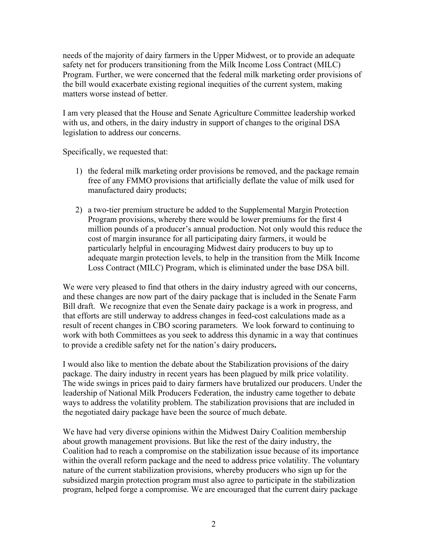needs of the majority of dairy farmers in the Upper Midwest, or to provide an adequate safety net for producers transitioning from the Milk Income Loss Contract (MILC) Program. Further, we were concerned that the federal milk marketing order provisions of the bill would exacerbate existing regional inequities of the current system, making matters worse instead of better.

I am very pleased that the House and Senate Agriculture Committee leadership worked with us, and others, in the dairy industry in support of changes to the original DSA legislation to address our concerns.

Specifically, we requested that:

- 1) the federal milk marketing order provisions be removed, and the package remain free of any FMMO provisions that artificially deflate the value of milk used for manufactured dairy products;
- 2) a two-tier premium structure be added to the Supplemental Margin Protection Program provisions, whereby there would be lower premiums for the first 4 million pounds of a producer's annual production. Not only would this reduce the cost of margin insurance for all participating dairy farmers, it would be particularly helpful in encouraging Midwest dairy producers to buy up to adequate margin protection levels, to help in the transition from the Milk Income Loss Contract (MILC) Program, which is eliminated under the base DSA bill.

We were very pleased to find that others in the dairy industry agreed with our concerns, and these changes are now part of the dairy package that is included in the Senate Farm Bill draft. We recognize that even the Senate dairy package is a work in progress, and that efforts are still underway to address changes in feed-cost calculations made as a result of recent changes in CBO scoring parameters. We look forward to continuing to work with both Committees as you seek to address this dynamic in a way that continues to provide a credible safety net for the nation's dairy producers**.** 

I would also like to mention the debate about the Stabilization provisions of the dairy package. The dairy industry in recent years has been plagued by milk price volatility. The wide swings in prices paid to dairy farmers have brutalized our producers. Under the leadership of National Milk Producers Federation, the industry came together to debate ways to address the volatility problem. The stabilization provisions that are included in the negotiated dairy package have been the source of much debate.

We have had very diverse opinions within the Midwest Dairy Coalition membership about growth management provisions. But like the rest of the dairy industry, the Coalition had to reach a compromise on the stabilization issue because of its importance within the overall reform package and the need to address price volatility. The voluntary nature of the current stabilization provisions, whereby producers who sign up for the subsidized margin protection program must also agree to participate in the stabilization program, helped forge a compromise. We are encouraged that the current dairy package